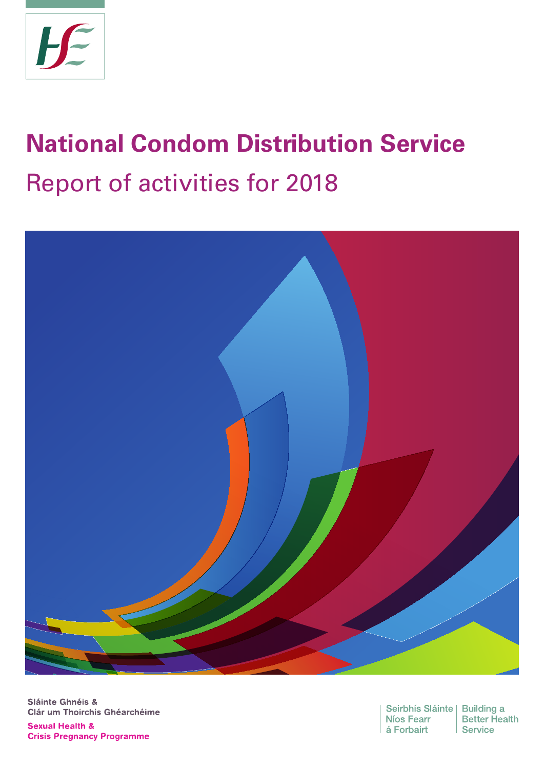

# **National Condom Distribution Service** Report of activities for 2018



Sláinte Ghnéis & Clár um Thoirchis Ghéarchéime **Sexual Health & Crisis Pregnancy Programme** 

Seirbhís Sláinte | Building a Níos Fearr á Forbairt

**Better Health** Service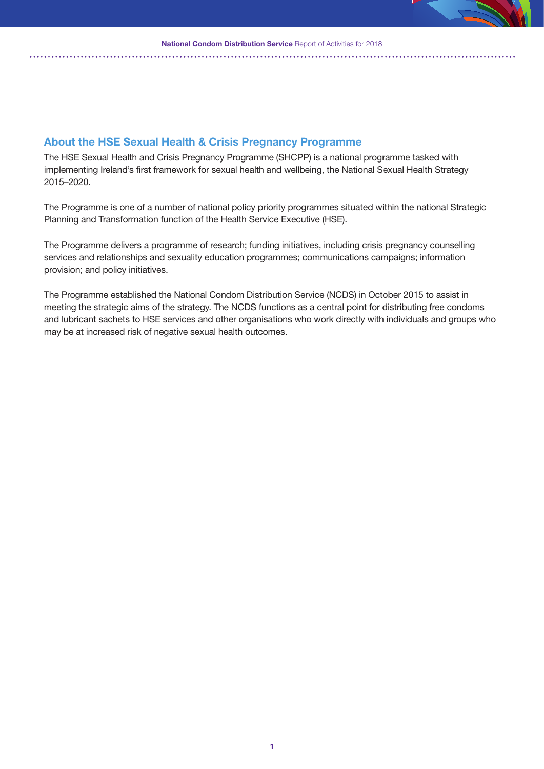### **About the HSE Sexual Health & Crisis Pregnancy Programme**

The HSE Sexual Health and Crisis Pregnancy Programme (SHCPP) is a national programme tasked with implementing Ireland's first framework for sexual health and wellbeing, the National Sexual Health Strategy 2015–2020.

The Programme is one of a number of national policy priority programmes situated within the national Strategic Planning and Transformation function of the Health Service Executive (HSE).

The Programme delivers a programme of research; funding initiatives, including crisis pregnancy counselling services and relationships and sexuality education programmes; communications campaigns; information provision; and policy initiatives.

The Programme established the National Condom Distribution Service (NCDS) in October 2015 to assist in meeting the strategic aims of the strategy. The NCDS functions as a central point for distributing free condoms and lubricant sachets to HSE services and other organisations who work directly with individuals and groups who may be at increased risk of negative sexual health outcomes.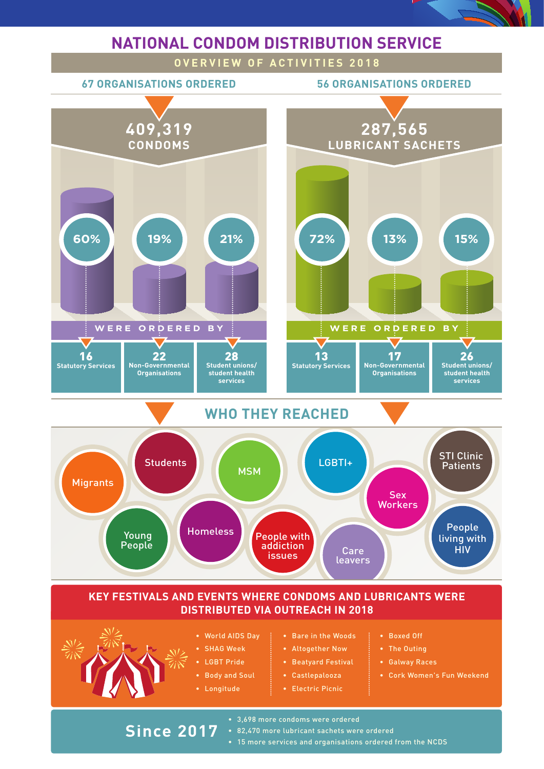

# **DISTRIBUTED VIA OUTREACH IN 2018**

- 
- World AIDS Day
- SHAG Week
- LGBT Pride
- Body and Soul
- Longitude

**Since 2017**

- Bare in the Woods
- Altogether Now
- Beatyard Festival
- Castlepalooza • Electric Picnic
- Boxed Off
- The Outing
- Galway Races
- Cork Women's Fun Weekend
- 3,698 more condoms were ordered
- 82,470 more lubricant sachets were ordered
- **2** 15 more services and organisations ordered from the NCDS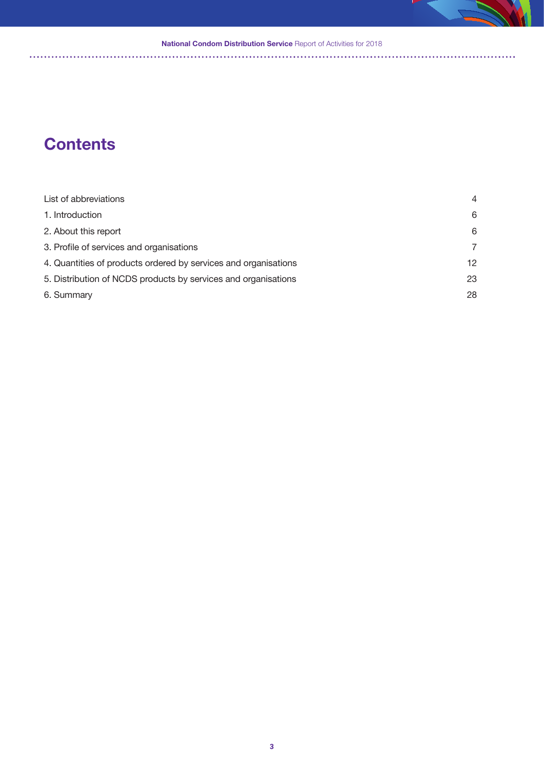#### **National Condom Distribution Service** Report of Activities for 2018

# **Contents**

| List of abbreviations                                           | $\overline{4}$  |
|-----------------------------------------------------------------|-----------------|
| 1. Introduction                                                 | 6               |
| 2. About this report                                            | 6               |
| 3. Profile of services and organisations                        | $\overline{7}$  |
| 4. Quantities of products ordered by services and organisations | 12 <sub>1</sub> |
| 5. Distribution of NCDS products by services and organisations  | 23              |
| 6. Summary                                                      | 28              |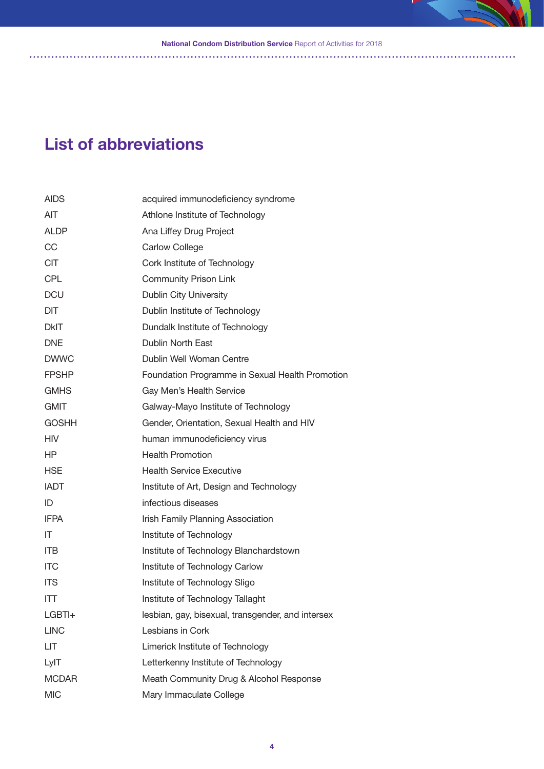**National Condom Distribution Service** Report of Activities for 2018

# **List of abbreviations**

| <b>AIDS</b>  | acquired immunodeficiency syndrome                |
|--------------|---------------------------------------------------|
| <b>AIT</b>   | Athlone Institute of Technology                   |
| <b>ALDP</b>  | Ana Liffey Drug Project                           |
| CC           | <b>Carlow College</b>                             |
| <b>CIT</b>   | Cork Institute of Technology                      |
| <b>CPL</b>   | <b>Community Prison Link</b>                      |
| <b>DCU</b>   | <b>Dublin City University</b>                     |
| <b>DIT</b>   | Dublin Institute of Technology                    |
| <b>DkIT</b>  | Dundalk Institute of Technology                   |
| <b>DNE</b>   | <b>Dublin North East</b>                          |
| <b>DWWC</b>  | Dublin Well Woman Centre                          |
| <b>FPSHP</b> | Foundation Programme in Sexual Health Promotion   |
| <b>GMHS</b>  | Gay Men's Health Service                          |
| <b>GMIT</b>  | Galway-Mayo Institute of Technology               |
| <b>GOSHH</b> | Gender, Orientation, Sexual Health and HIV        |
| <b>HIV</b>   | human immunodeficiency virus                      |
| HP           | <b>Health Promotion</b>                           |
|              |                                                   |
| <b>HSE</b>   | <b>Health Service Executive</b>                   |
| <b>IADT</b>  | Institute of Art, Design and Technology           |
| ID           | infectious diseases                               |
| <b>IFPA</b>  | Irish Family Planning Association                 |
| IT           | Institute of Technology                           |
| <b>ITB</b>   | Institute of Technology Blanchardstown            |
| <b>ITC</b>   | Institute of Technology Carlow                    |
| <b>ITS</b>   | Institute of Technology Sligo                     |
| ITT          | Institute of Technology Tallaght                  |
| LGBTI+       | lesbian, gay, bisexual, transgender, and intersex |
| <b>LINC</b>  | Lesbians in Cork                                  |
| LIT          | Limerick Institute of Technology                  |
| LyIT         | Letterkenny Institute of Technology               |
| <b>MCDAR</b> | Meath Community Drug & Alcohol Response           |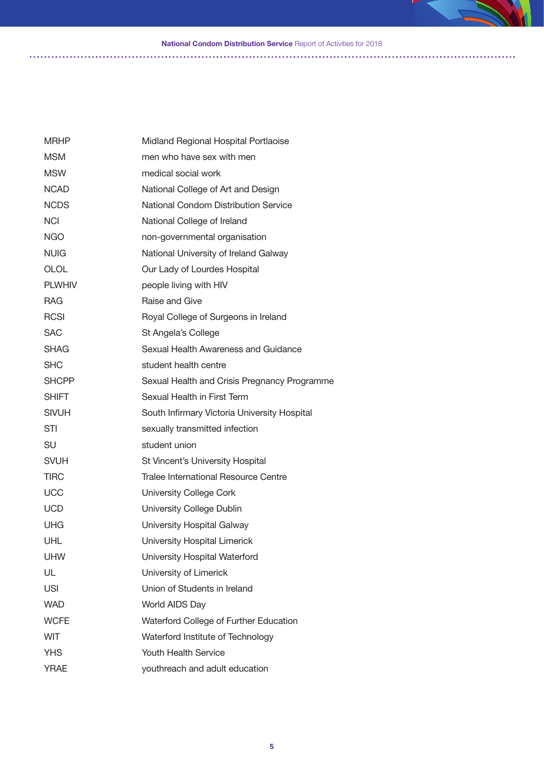#### **National Condom Distribution Service** Report of Activities for 2018

| <b>MRHP</b>   | Midland Regional Hospital Portlaoise         |
|---------------|----------------------------------------------|
| <b>MSM</b>    | men who have sex with men                    |
| MSW           | medical social work                          |
| <b>NCAD</b>   | National College of Art and Design           |
| <b>NCDS</b>   | <b>National Condom Distribution Service</b>  |
| <b>NCI</b>    | National College of Ireland                  |
| <b>NGO</b>    | non-governmental organisation                |
| <b>NUIG</b>   | National University of Ireland Galway        |
| <b>OLOL</b>   | Our Lady of Lourdes Hospital                 |
| <b>PLWHIV</b> | people living with HIV                       |
| <b>RAG</b>    | Raise and Give                               |
| <b>RCSI</b>   | Royal College of Surgeons in Ireland         |
| <b>SAC</b>    | St Angela's College                          |
| SHAG          | Sexual Health Awareness and Guidance         |
| <b>SHC</b>    | student health centre                        |
| <b>SHCPP</b>  | Sexual Health and Crisis Pregnancy Programme |
| SHIFT         | Sexual Health in First Term                  |
| <b>SIVUH</b>  | South Infirmary Victoria University Hospital |
| STI           | sexually transmitted infection               |
| SU            | student union                                |
| <b>SVUH</b>   | St Vincent's University Hospital             |
| <b>TIRC</b>   | Tralee International Resource Centre         |
| <b>UCC</b>    | <b>University College Cork</b>               |
| <b>UCD</b>    | University College Dublin                    |
| UHG           | University Hospital Galway                   |
| UHL           | University Hospital Limerick                 |
| <b>UHW</b>    | University Hospital Waterford                |
| UL            | University of Limerick                       |
| <b>USI</b>    | Union of Students in Ireland                 |
| <b>WAD</b>    | World AIDS Day                               |
| <b>WCFE</b>   | Waterford College of Further Education       |
| <b>WIT</b>    | Waterford Institute of Technology            |
| <b>YHS</b>    | Youth Health Service                         |
| <b>YRAE</b>   | youthreach and adult education               |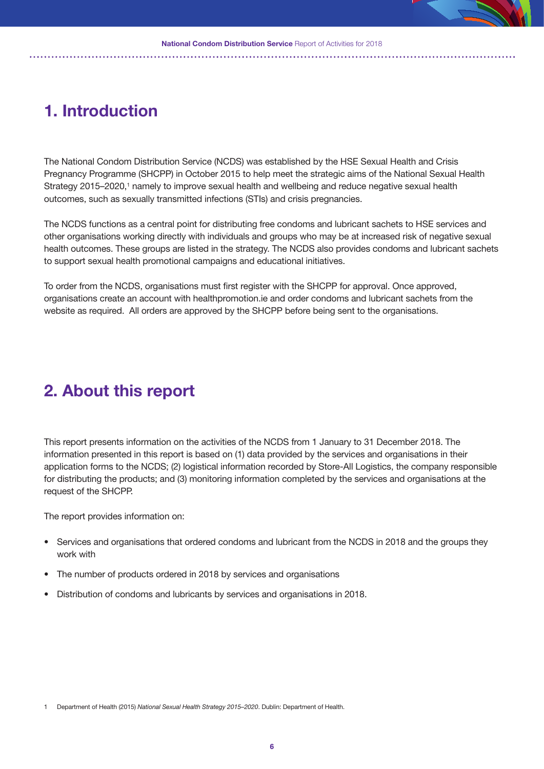# **1. Introduction**

The National Condom Distribution Service (NCDS) was established by the HSE Sexual Health and Crisis Pregnancy Programme (SHCPP) in October 2015 to help meet the strategic aims of the National Sexual Health Strategy 2015–2020,<sup>1</sup> namely to improve sexual health and wellbeing and reduce negative sexual health outcomes, such as sexually transmitted infections (STIs) and crisis pregnancies.

The NCDS functions as a central point for distributing free condoms and lubricant sachets to HSE services and other organisations working directly with individuals and groups who may be at increased risk of negative sexual health outcomes. These groups are listed in the strategy. The NCDS also provides condoms and lubricant sachets to support sexual health promotional campaigns and educational initiatives.

To order from the NCDS, organisations must first register with the SHCPP for approval. Once approved, organisations create an account with healthpromotion.ie and order condoms and lubricant sachets from the website as required. All orders are approved by the SHCPP before being sent to the organisations.

# **2. About this report**

This report presents information on the activities of the NCDS from 1 January to 31 December 2018. The information presented in this report is based on (1) data provided by the services and organisations in their application forms to the NCDS; (2) logistical information recorded by Store-All Logistics, the company responsible for distributing the products; and (3) monitoring information completed by the services and organisations at the request of the SHCPP.

The report provides information on:

- Services and organisations that ordered condoms and lubricant from the NCDS in 2018 and the groups they work with
- The number of products ordered in 2018 by services and organisations
- Distribution of condoms and lubricants by services and organisations in 2018.

<sup>1</sup> Department of Health (2015) *National Sexual Health Strategy 2015–2020*. Dublin: Department of Health.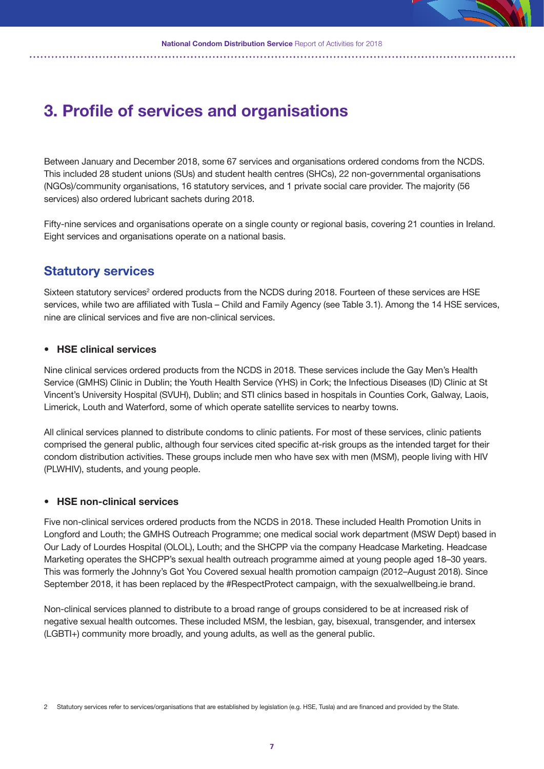# **3. Profile of services and organisations**

Between January and December 2018, some 67 services and organisations ordered condoms from the NCDS. This included 28 student unions (SUs) and student health centres (SHCs), 22 non-governmental organisations (NGOs)/community organisations, 16 statutory services, and 1 private social care provider. The majority (56 services) also ordered lubricant sachets during 2018.

Fifty-nine services and organisations operate on a single county or regional basis, covering 21 counties in Ireland. Eight services and organisations operate on a national basis.

### **Statutory services**

Sixteen statutory services<sup>2</sup> ordered products from the NCDS during 2018. Fourteen of these services are HSE services, while two are affiliated with Tusla – Child and Family Agency (see Table 3.1). Among the 14 HSE services, nine are clinical services and five are non-clinical services.

#### **• HSE clinical services**

Nine clinical services ordered products from the NCDS in 2018. These services include the Gay Men's Health Service (GMHS) Clinic in Dublin; the Youth Health Service (YHS) in Cork; the Infectious Diseases (ID) Clinic at St Vincent's University Hospital (SVUH), Dublin; and STI clinics based in hospitals in Counties Cork, Galway, Laois, Limerick, Louth and Waterford, some of which operate satellite services to nearby towns.

All clinical services planned to distribute condoms to clinic patients. For most of these services, clinic patients comprised the general public, although four services cited specific at-risk groups as the intended target for their condom distribution activities. These groups include men who have sex with men (MSM), people living with HIV (PLWHIV), students, and young people.

### **• HSE non-clinical services**

Five non-clinical services ordered products from the NCDS in 2018. These included Health Promotion Units in Longford and Louth; the GMHS Outreach Programme; one medical social work department (MSW Dept) based in Our Lady of Lourdes Hospital (OLOL), Louth; and the SHCPP via the company Headcase Marketing. Headcase Marketing operates the SHCPP's sexual health outreach programme aimed at young people aged 18–30 years. This was formerly the Johnny's Got You Covered sexual health promotion campaign (2012–August 2018). Since September 2018, it has been replaced by the #RespectProtect campaign, with the sexualwellbeing.ie brand.

Non-clinical services planned to distribute to a broad range of groups considered to be at increased risk of negative sexual health outcomes. These included MSM, the lesbian, gay, bisexual, transgender, and intersex (LGBTI+) community more broadly, and young adults, as well as the general public.

Statutory services refer to services/organisations that are established by legislation (e.g. HSE, Tusla) and are financed and provided by the State.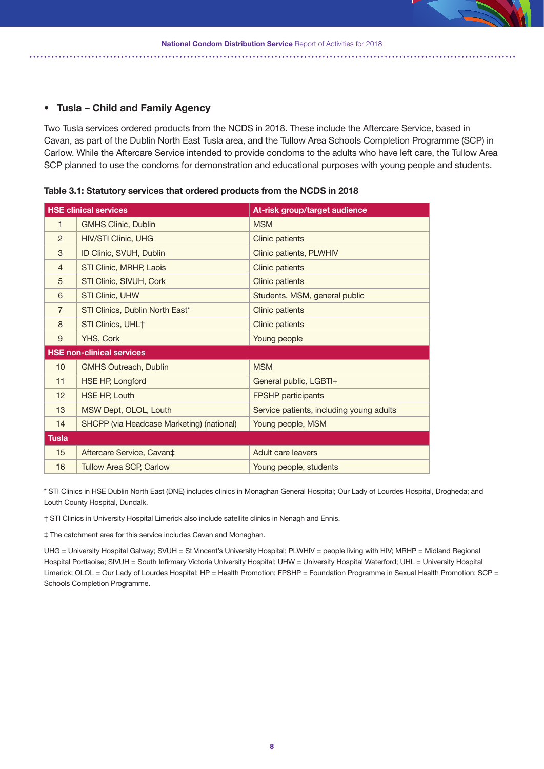#### **• Tusla – Child and Family Agency**

Two Tusla services ordered products from the NCDS in 2018. These include the Aftercare Service, based in Cavan, as part of the Dublin North East Tusla area, and the Tullow Area Schools Completion Programme (SCP) in Carlow. While the Aftercare Service intended to provide condoms to the adults who have left care, the Tullow Area SCP planned to use the condoms for demonstration and educational purposes with young people and students.

|                | <b>HSE clinical services</b>              | At-risk group/target audience            |
|----------------|-------------------------------------------|------------------------------------------|
| 1              | <b>GMHS Clinic, Dublin</b>                | <b>MSM</b>                               |
| 2              | <b>HIV/STI Clinic, UHG</b>                | <b>Clinic patients</b>                   |
| 3              | ID Clinic, SVUH, Dublin                   | Clinic patients, PLWHIV                  |
| $\overline{4}$ | STI Clinic, MRHP, Laois                   | <b>Clinic patients</b>                   |
| 5              | STI Clinic, SIVUH, Cork                   | <b>Clinic patients</b>                   |
| 6              | <b>STI Clinic, UHW</b>                    | Students, MSM, general public            |
| $\overline{7}$ | STI Clinics, Dublin North East*           | <b>Clinic patients</b>                   |
| 8              | STI Clinics, UHL <sup>+</sup>             | Clinic patients                          |
| 9              | <b>YHS, Cork</b>                          | Young people                             |
|                | <b>HSE non-clinical services</b>          |                                          |
| 10             | <b>GMHS Outreach, Dublin</b>              | <b>MSM</b>                               |
| 11             | HSE HP, Longford                          | General public, LGBTI+                   |
| 12             | <b>HSE HP, Louth</b>                      | <b>FPSHP</b> participants                |
| 13             | MSW Dept, OLOL, Louth                     | Service patients, including young adults |
| 14             | SHCPP (via Headcase Marketing) (national) | Young people, MSM                        |
| <b>Tusla</b>   |                                           |                                          |
| 15             | Aftercare Service, Cavan <sup>+</sup>     | Adult care leavers                       |
| 16             | <b>Tullow Area SCP, Carlow</b>            | Young people, students                   |

**Table 3.1: Statutory services that ordered products from the NCDS in 2018**

\* STI Clinics in HSE Dublin North East (DNE) includes clinics in Monaghan General Hospital; Our Lady of Lourdes Hospital, Drogheda; and Louth County Hospital, Dundalk.

† STI Clinics in University Hospital Limerick also include satellite clinics in Nenagh and Ennis.

‡ The catchment area for this service includes Cavan and Monaghan.

UHG = University Hospital Galway; SVUH = St Vincent's University Hospital; PLWHIV = people living with HIV; MRHP = Midland Regional Hospital Portlaoise; SIVUH = South Infirmary Victoria University Hospital; UHW = University Hospital Waterford; UHL = University Hospital Limerick; OLOL = Our Lady of Lourdes Hospital: HP = Health Promotion; FPSHP = Foundation Programme in Sexual Health Promotion; SCP = Schools Completion Programme.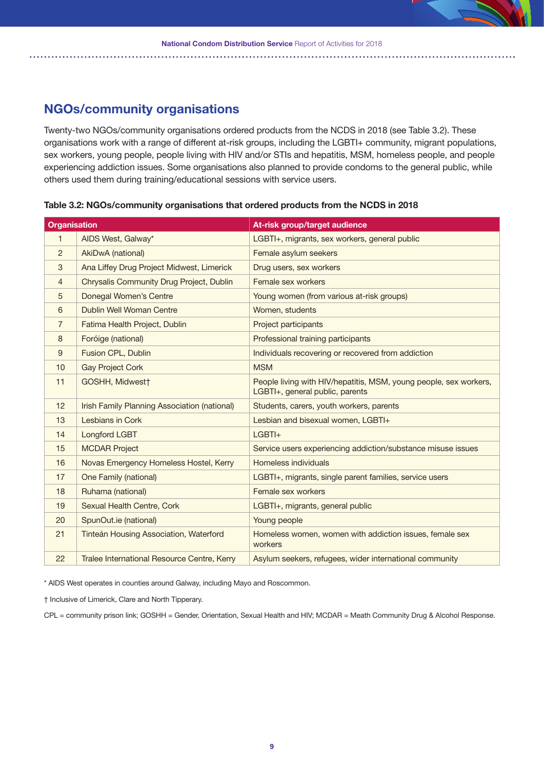### **NGOs/community organisations**

Twenty-two NGOs/community organisations ordered products from the NCDS in 2018 (see Table 3.2). These organisations work with a range of different at-risk groups, including the LGBTI+ community, migrant populations, sex workers, young people, people living with HIV and/or STIs and hepatitis, MSM, homeless people, and people experiencing addiction issues. Some organisations also planned to provide condoms to the general public, while others used them during training/educational sessions with service users.

| <b>Organisation</b> |                                              | At-risk group/target audience                                                                        |
|---------------------|----------------------------------------------|------------------------------------------------------------------------------------------------------|
| 1                   | AIDS West, Galway*                           | LGBTI+, migrants, sex workers, general public                                                        |
| 2                   | AkiDwA (national)                            | Female asylum seekers                                                                                |
| 3                   | Ana Liffey Drug Project Midwest, Limerick    | Drug users, sex workers                                                                              |
| $\overline{4}$      | Chrysalis Community Drug Project, Dublin     | Female sex workers                                                                                   |
| 5                   | Donegal Women's Centre                       | Young women (from various at-risk groups)                                                            |
| 6                   | Dublin Well Woman Centre                     | Women, students                                                                                      |
| $\overline{7}$      | Fatima Health Project, Dublin                | Project participants                                                                                 |
| 8                   | Foróige (national)                           | Professional training participants                                                                   |
| 9                   | Fusion CPL, Dublin                           | Individuals recovering or recovered from addiction                                                   |
| 10                  | <b>Gay Project Cork</b>                      | <b>MSM</b>                                                                                           |
| 11                  | GOSHH, Midwest†                              | People living with HIV/hepatitis, MSM, young people, sex workers,<br>LGBTI+, general public, parents |
| 12                  | Irish Family Planning Association (national) | Students, carers, youth workers, parents                                                             |
| 13                  | Lesbians in Cork                             | Lesbian and bisexual women, LGBTI+                                                                   |
| 14                  | Longford LGBT                                | $LGBTI+$                                                                                             |
| 15                  | <b>MCDAR Project</b>                         | Service users experiencing addiction/substance misuse issues                                         |
| 16                  | Novas Emergency Homeless Hostel, Kerry       | Homeless individuals                                                                                 |
| 17                  | One Family (national)                        | LGBTI+, migrants, single parent families, service users                                              |
| 18                  | Ruhama (national)                            | Female sex workers                                                                                   |
| 19                  | Sexual Health Centre, Cork                   | LGBTI+, migrants, general public                                                                     |
| 20                  | SpunOut.ie (national)                        | Young people                                                                                         |
| 21                  | Tinteán Housing Association, Waterford       | Homeless women, women with addiction issues, female sex<br>workers                                   |
| 22                  | Tralee International Resource Centre, Kerry  | Asylum seekers, refugees, wider international community                                              |

**Table 3.2: NGOs/community organisations that ordered products from the NCDS in 2018**

\* AIDS West operates in counties around Galway, including Mayo and Roscommon.

† Inclusive of Limerick, Clare and North Tipperary.

CPL = community prison link; GOSHH = Gender, Orientation, Sexual Health and HIV; MCDAR = Meath Community Drug & Alcohol Response.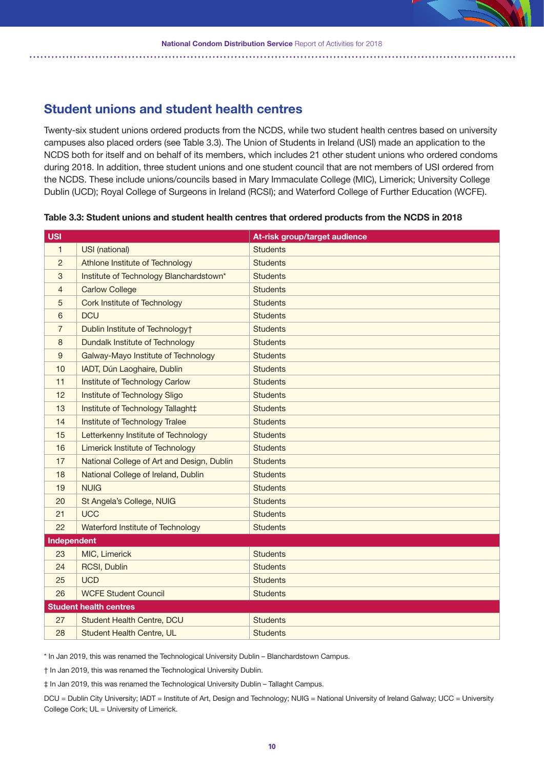

### **Student unions and student health centres**

Twenty-six student unions ordered products from the NCDS, while two student health centres based on university campuses also placed orders (see Table 3.3). The Union of Students in Ireland (USI) made an application to the NCDS both for itself and on behalf of its members, which includes 21 other student unions who ordered condoms during 2018. In addition, three student unions and one student council that are not members of USI ordered from the NCDS. These include unions/councils based in Mary Immaculate College (MIC), Limerick; University College Dublin (UCD); Royal College of Surgeons in Ireland (RCSI); and Waterford College of Further Education (WCFE).

| <b>USI</b>     |                                            | At-risk group/target audience |
|----------------|--------------------------------------------|-------------------------------|
| $\mathbf{1}$   | USI (national)                             | <b>Students</b>               |
| $\overline{2}$ | Athlone Institute of Technology            | <b>Students</b>               |
| 3              | Institute of Technology Blanchardstown*    | <b>Students</b>               |
| 4              | <b>Carlow College</b>                      | <b>Students</b>               |
| 5              | Cork Institute of Technology               | <b>Students</b>               |
| 6              | <b>DCU</b>                                 | <b>Students</b>               |
| 7              | Dublin Institute of Technology+            | <b>Students</b>               |
| 8              | Dundalk Institute of Technology            | <b>Students</b>               |
| 9              | Galway-Mayo Institute of Technology        | <b>Students</b>               |
| 10             | IADT, Dún Laoghaire, Dublin                | <b>Students</b>               |
| 11             | Institute of Technology Carlow             | <b>Students</b>               |
| 12             | Institute of Technology Sligo              | <b>Students</b>               |
| 13             | Institute of Technology Tallaght‡          | <b>Students</b>               |
| 14             | Institute of Technology Tralee             | <b>Students</b>               |
| 15             | Letterkenny Institute of Technology        | <b>Students</b>               |
| 16             | Limerick Institute of Technology           | <b>Students</b>               |
| 17             | National College of Art and Design, Dublin | <b>Students</b>               |
| 18             | National College of Ireland, Dublin        | <b>Students</b>               |
| 19             | <b>NUIG</b>                                | <b>Students</b>               |
| 20             | St Angela's College, NUIG                  | <b>Students</b>               |
| 21             | <b>UCC</b>                                 | <b>Students</b>               |
| 22             | Waterford Institute of Technology          | <b>Students</b>               |
| Independent    |                                            |                               |
| 23             | MIC, Limerick                              | <b>Students</b>               |
| 24             | RCSI, Dublin                               | <b>Students</b>               |
| 25             | <b>UCD</b>                                 | <b>Students</b>               |
| 26             | <b>WCFE Student Council</b>                | <b>Students</b>               |
|                | <b>Student health centres</b>              |                               |
| 27             | Student Health Centre, DCU                 | <b>Students</b>               |
| 28             | Student Health Centre, UL                  | <b>Students</b>               |

#### **Table 3.3: Student unions and student health centres that ordered products from the NCDS in 2018**

\* In Jan 2019, this was renamed the Technological University Dublin – Blanchardstown Campus.

† In Jan 2019, this was renamed the Technological University Dublin.

‡ In Jan 2019, this was renamed the Technological University Dublin – Tallaght Campus.

DCU = Dublin City University; IADT = Institute of Art, Design and Technology; NUIG = National University of Ireland Galway; UCC = University College Cork; UL = University of Limerick.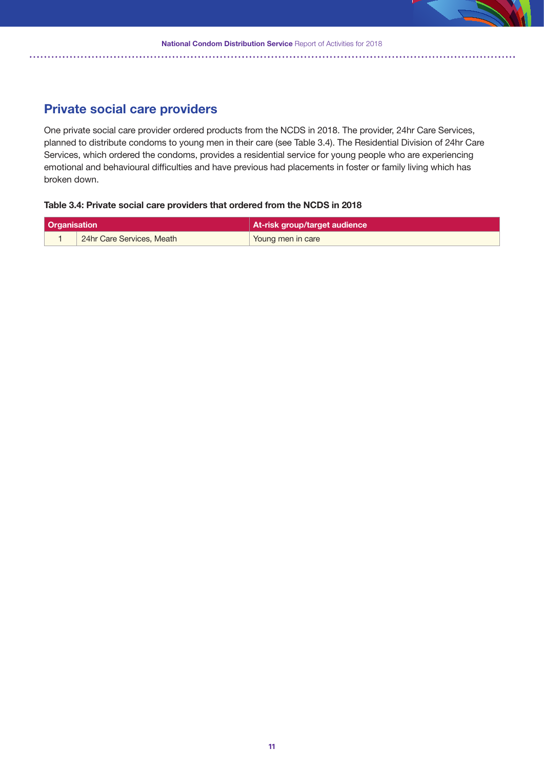

### **Private social care providers**

One private social care provider ordered products from the NCDS in 2018. The provider, 24hr Care Services, planned to distribute condoms to young men in their care (see Table 3.4). The Residential Division of 24hr Care Services, which ordered the condoms, provides a residential service for young people who are experiencing emotional and behavioural difficulties and have previous had placements in foster or family living which has broken down.

#### **Table 3.4: Private social care providers that ordered from the NCDS in 2018**

| <b>Organisation</b> |                           | At-risk group/target audience |
|---------------------|---------------------------|-------------------------------|
|                     | 24hr Care Services, Meath | Young men in care             |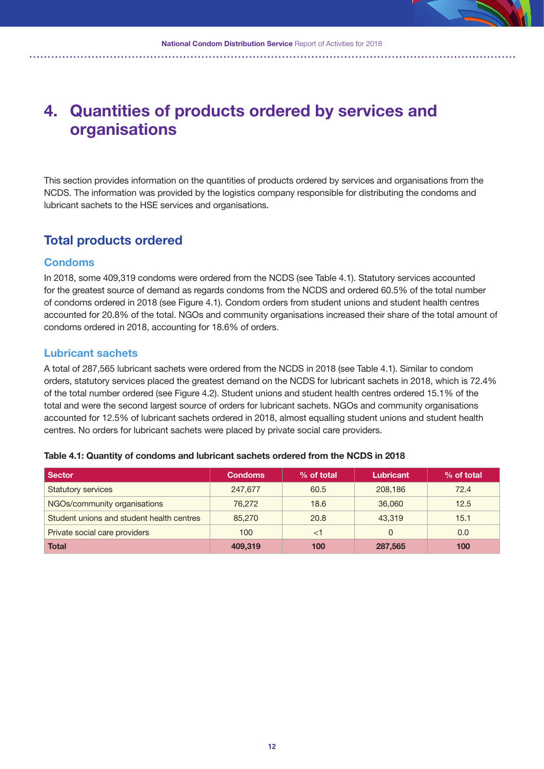# **4. Quantities of products ordered by services and organisations**

This section provides information on the quantities of products ordered by services and organisations from the NCDS. The information was provided by the logistics company responsible for distributing the condoms and lubricant sachets to the HSE services and organisations.

### **Total products ordered**

### **Condoms**

In 2018, some 409,319 condoms were ordered from the NCDS (see Table 4.1). Statutory services accounted for the greatest source of demand as regards condoms from the NCDS and ordered 60.5% of the total number of condoms ordered in 2018 (see Figure 4.1). Condom orders from student unions and student health centres accounted for 20.8% of the total. NGOs and community organisations increased their share of the total amount of condoms ordered in 2018, accounting for 18.6% of orders.

### **Lubricant sachets**

A total of 287,565 lubricant sachets were ordered from the NCDS in 2018 (see Table 4.1). Similar to condom orders, statutory services placed the greatest demand on the NCDS for lubricant sachets in 2018, which is 72.4% of the total number ordered (see Figure 4.2). Student unions and student health centres ordered 15.1% of the total and were the second largest source of orders for lubricant sachets. NGOs and community organisations accounted for 12.5% of lubricant sachets ordered in 2018, almost equalling student unions and student health centres. No orders for lubricant sachets were placed by private social care providers.

| <b>Sector</b>                             | <b>Condoms</b> | % of total | <b>Lubricant</b> | % of total |
|-------------------------------------------|----------------|------------|------------------|------------|
| <b>Statutory services</b>                 | 247,677        | 60.5       | 208,186          | 72.4       |
| NGOs/community organisations              | 76.272         | 18.6       | 36,060           | 12.5       |
| Student unions and student health centres | 85,270         | 20.8       | 43,319           | 15.1       |
| Private social care providers             | 100            | $<$ 1      | 0                | 0.0        |
| <b>Total</b>                              | 409.319        | 100        | 287,565          | 100        |

#### **Table 4.1: Quantity of condoms and lubricant sachets ordered from the NCDS in 2018**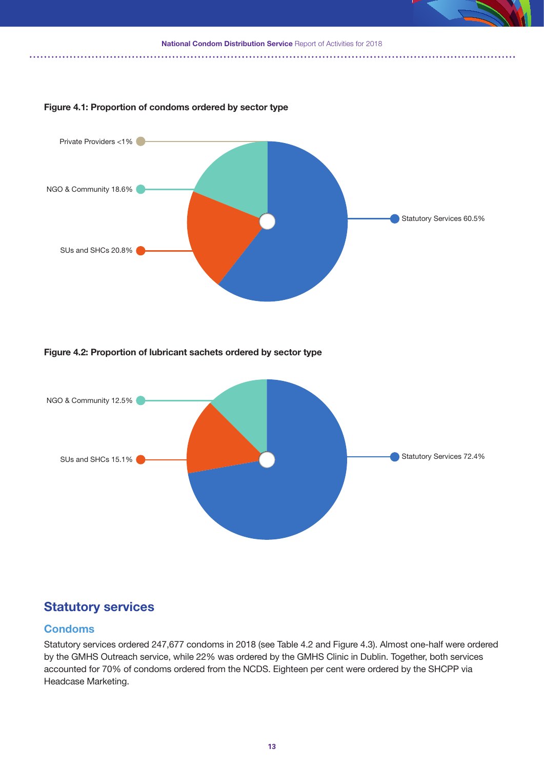

### **Figure 4.1: Proportion of condoms ordered by sector type**



### **Figure 4.2: Proportion of lubricant sachets ordered by sector type**



### **Statutory services**

### **Condoms**

Statutory services ordered 247,677 condoms in 2018 (see Table 4.2 and Figure 4.3). Almost one-half were ordered by the GMHS Outreach service, while 22% was ordered by the GMHS Clinic in Dublin. Together, both services accounted for 70% of condoms ordered from the NCDS. Eighteen per cent were ordered by the SHCPP via Headcase Marketing.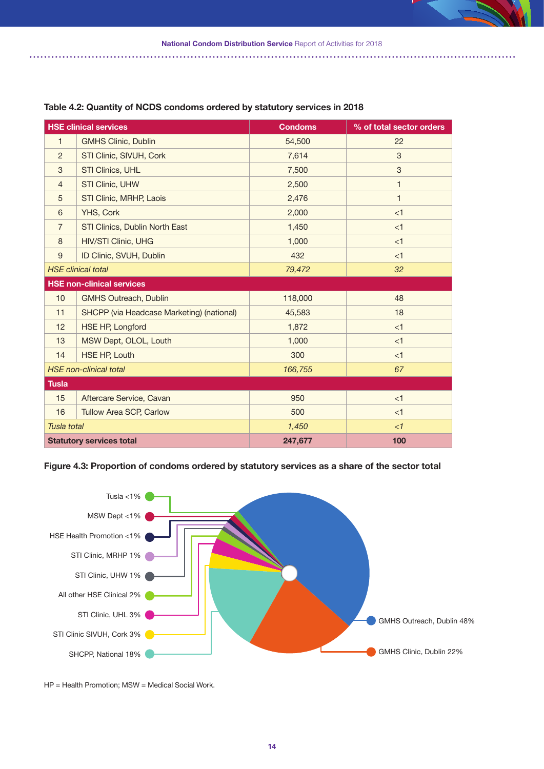

|                | <b>HSE clinical services</b>                     | <b>Condoms</b> | % of total sector orders |
|----------------|--------------------------------------------------|----------------|--------------------------|
| $\mathbf{1}$   | <b>GMHS Clinic, Dublin</b>                       | 54,500         | 22                       |
| $\overline{2}$ | STI Clinic, SIVUH, Cork                          | 7,614          | 3                        |
| 3              | STI Clinics, UHL                                 | 7,500          | 3                        |
| $\overline{4}$ | <b>STI Clinic, UHW</b>                           | 2,500          | 1                        |
| 5              | STI Clinic, MRHP, Laois                          | 2,476          | $\mathbf{1}$             |
| 6              | YHS, Cork                                        | 2,000          | <1                       |
| $\overline{7}$ | STI Clinics, Dublin North East                   | 1,450          | <1                       |
| 8              | <b>HIV/STI Clinic, UHG</b>                       | 1,000          | <1                       |
| 9              | ID Clinic, SVUH, Dublin                          | 432            | <1                       |
|                | <b>HSE</b> clinical total                        | 79,472         | 32                       |
|                | <b>HSE non-clinical services</b>                 |                |                          |
| 10             | <b>GMHS Outreach, Dublin</b>                     | 118,000        | 48                       |
| 11             | <b>SHCPP</b> (via Headcase Marketing) (national) | 45,583         | 18                       |
| 12             | <b>HSE HP, Longford</b>                          | 1,872          | <1                       |
| 13             | MSW Dept, OLOL, Louth                            | 1,000          | <1                       |
| 14             | <b>HSE HP, Louth</b>                             | 300            | <1                       |
|                | <b>HSE</b> non-clinical total                    | 166,755        | 67                       |
| <b>Tusla</b>   |                                                  |                |                          |
| 15             | Aftercare Service, Cavan                         | 950            | <1                       |
| 16             | Tullow Area SCP, Carlow                          | 500            | <1                       |
| Tusla total    |                                                  | 1,450          | $\leq$ 1                 |
|                | <b>Statutory services total</b>                  | 247,677        | 100                      |

#### **Table 4.2: Quantity of NCDS condoms ordered by statutory services in 2018**

**Figure 4.3: Proportion of condoms ordered by statutory services as a share of the sector total**



HP = Health Promotion; MSW = Medical Social Work.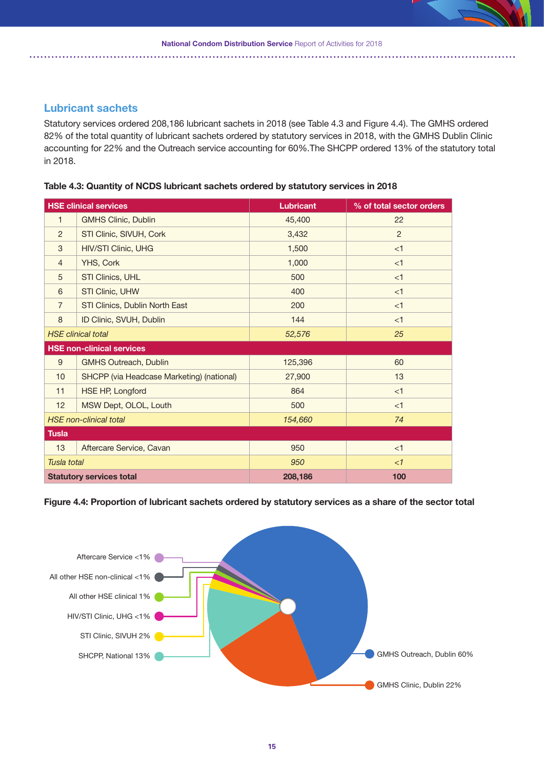### **Lubricant sachets**

Statutory services ordered 208,186 lubricant sachets in 2018 (see Table 4.3 and Figure 4.4). The GMHS ordered 82% of the total quantity of lubricant sachets ordered by statutory services in 2018, with the GMHS Dublin Clinic accounting for 22% and the Outreach service accounting for 60%.The SHCPP ordered 13% of the statutory total in 2018.

**Table 4.3: Quantity of NCDS lubricant sachets ordered by statutory services in 2018**

|                 | <b>HSE clinical services</b>              | <b>Lubricant</b> | % of total sector orders |
|-----------------|-------------------------------------------|------------------|--------------------------|
| $\mathbf{1}$    | <b>GMHS Clinic, Dublin</b>                | 45,400           | 22                       |
| $\overline{2}$  | STI Clinic, SIVUH, Cork                   | 3,432            | $\overline{2}$           |
| 3               | <b>HIV/STI Clinic, UHG</b>                | 1,500            | $\leq$ 1                 |
| $\overline{4}$  | YHS, Cork                                 | 1,000            | <1                       |
| 5               | STI Clinics, UHL                          | 500              | <1                       |
| 6               | STI Clinic, UHW                           | 400              | < 1                      |
| $\overline{7}$  | STI Clinics, Dublin North East            | 200              | <1                       |
| 8               | ID Clinic, SVUH, Dublin                   | 144              | <1                       |
|                 | <b>HSE</b> clinical total                 | 52,576           | 25                       |
|                 | <b>HSE non-clinical services</b>          |                  |                          |
| 9               | <b>GMHS Outreach, Dublin</b>              | 125,396          | 60                       |
| 10 <sup>1</sup> | SHCPP (via Headcase Marketing) (national) | 27,900           | 13                       |
| 11              | <b>HSE HP, Longford</b>                   | 864              | $\leq$ 1                 |
| 12              | MSW Dept, OLOL, Louth                     | 500              | $<$ 1                    |
|                 | <b>HSE</b> non-clinical total             | 154,660          | 74                       |
| <b>Tusla</b>    |                                           |                  |                          |
| 13              | Aftercare Service, Cavan                  | 950              | <1                       |
| Tusla total     |                                           | 950              | $\leq$ 1                 |
|                 | <b>Statutory services total</b>           | 208,186          | 100                      |

**Figure 4.4: Proportion of lubricant sachets ordered by statutory services as a share of the sector total**

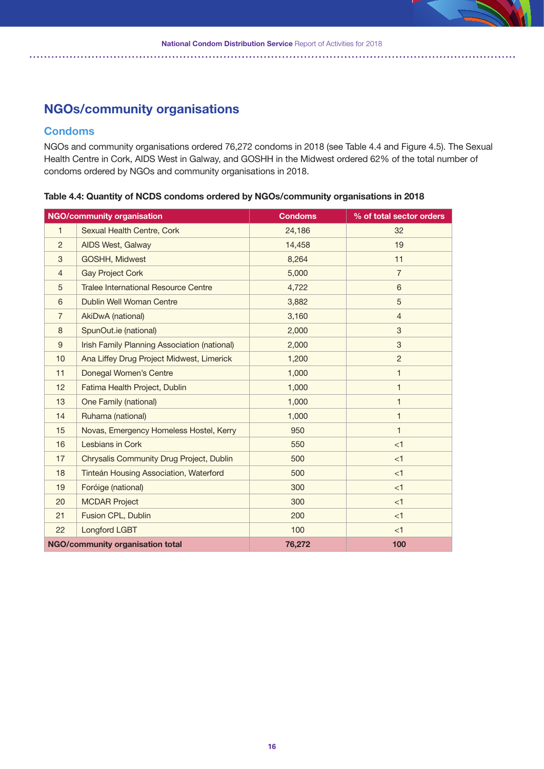### **NGOs/community organisations**

### **Condoms**

NGOs and community organisations ordered 76,272 condoms in 2018 (see Table 4.4 and Figure 4.5). The Sexual Health Centre in Cork, AIDS West in Galway, and GOSHH in the Midwest ordered 62% of the total number of condoms ordered by NGOs and community organisations in 2018.

**NGO/community organisation Condoms % of total sector orders** 1 Sexual Health Centre, Cork 24,186 32 2 AIDS West, Galway 14,458 19 3 GOSHH, Midwest 2008 11 8,264 11 4 Gay Project Cork 5,000 7 5 Tralee International Resource Centre 4,722 6 6 Dublin Well Woman Centre **1988** 1 3,882 5 7 AkiDwA (national) 3,160 4 8 SpunOut.ie (national) 2,000 3 9 | Irish Family Planning Association (national) | 2,000 | 3 10 Ana Liffey Drug Project Midwest, Limerick 1,200 1,200 2 11 Donegal Women's Centre 1,000 1 12 Fatima Health Project, Dublin 1,000 1 13 One Family (national) 1,000 1 14 Ruhama (national) 1,000 1 1,000 1 15 Novas, Emergency Homeless Hostel, Kerry 1950 1960 1961 1971 16 Lesbians in Cork **16 Corp. 1999 16 Corp. 1999 16 Corp. 1999 16 Corp. 1999 16 Corp. 1999 16 Corp. 1999 16 Corp. 1999 16 Corp. 1999 16 Corp. 1999 16 Corp. 1999 16 Corp. 1999 16 Corp. 1999 16 Corp.** 17 Chrysalis Community Drug Project, Dublin 500 500 <1 18 Tinteán Housing Association, Waterford 500 500 <1 19 Foróige (national) 300 <1 20 MCDAR Project 20 300 <1 21 **Fusion CPL, Dublin 200 200 41 CH 200 41** 22 Longford LGBT 100 100 <1 **NGO/community organisation total 76,272 100**

**Table 4.4: Quantity of NCDS condoms ordered by NGOs/community organisations in 2018**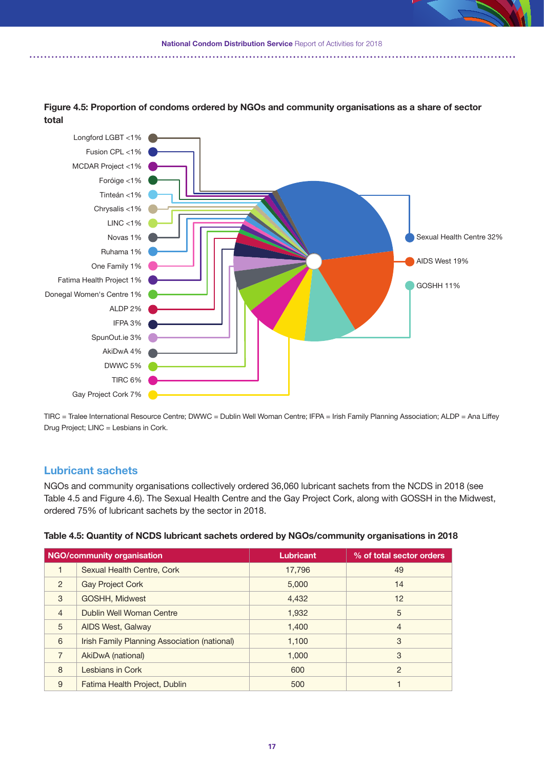**National Condom Distribution Service** Report of Activities for 2018



**Figure 4.5: Proportion of condoms ordered by NGOs and community organisations as a share of sector total** 

TIRC = Tralee International Resource Centre; DWWC = Dublin Well Woman Centre; IFPA = Irish Family Planning Association; ALDP = Ana Liffey Drug Project; LINC = Lesbians in Cork.

### **Lubricant sachets**

NGOs and community organisations collectively ordered 36,060 lubricant sachets from the NCDS in 2018 (see Table 4.5 and Figure 4.6). The Sexual Health Centre and the Gay Project Cork, along with GOSSH in the Midwest, ordered 75% of lubricant sachets by the sector in 2018.

| Table 4.5: Quantity of NCDS lubricant sachets ordered by NGOs/community organisations in 2018 |  |
|-----------------------------------------------------------------------------------------------|--|
|                                                                                               |  |
|                                                                                               |  |
|                                                                                               |  |

|                | <b>NGO/community organisation</b>            | Lubricant | % of total sector orders |
|----------------|----------------------------------------------|-----------|--------------------------|
|                | Sexual Health Centre, Cork                   | 17,796    | 49                       |
| $\overline{2}$ | <b>Gay Project Cork</b>                      | 5,000     | 14                       |
| 3              | GOSHH, Midwest                               | 4,432     | $12 \overline{ }$        |
| $\overline{4}$ | Dublin Well Woman Centre                     | 1.932     | 5                        |
| 5              | AIDS West, Galway                            | 1,400     | $\overline{4}$           |
| 6              | Irish Family Planning Association (national) | 1,100     | 3                        |
| $\overline{7}$ | AkiDwA (national)                            | 1.000     | 3                        |
| 8              | Lesbians in Cork                             | 600       | $\mathcal{P}$            |
| 9              | Fatima Health Project, Dublin                | 500       |                          |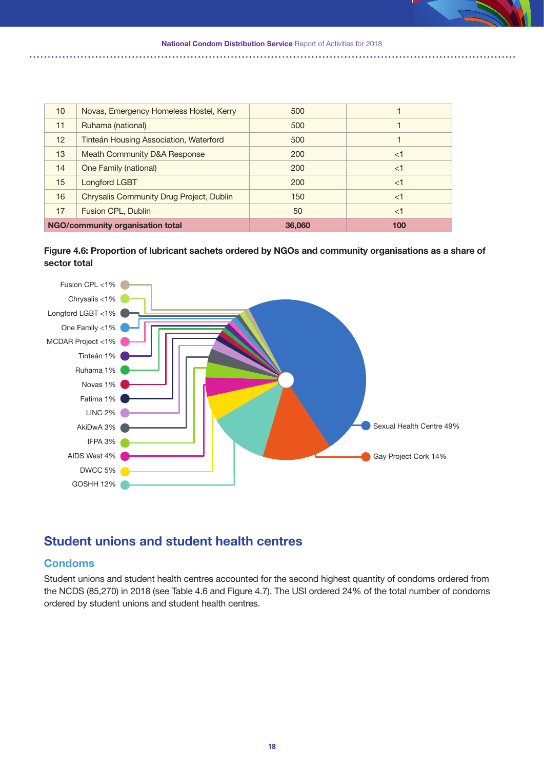

**National Condom Distribution Service Report of Activities for 2018** 





### **Student unions and student health centres**

### **Condoms**

Student unions and student health centres accounted for the second highest quantity of condoms ordered from the NCDS (85,270) in 2018 (see Table 4.6 and Figure 4.7). The USI ordered 24% of the total number of condoms ordered by student unions and student health centres.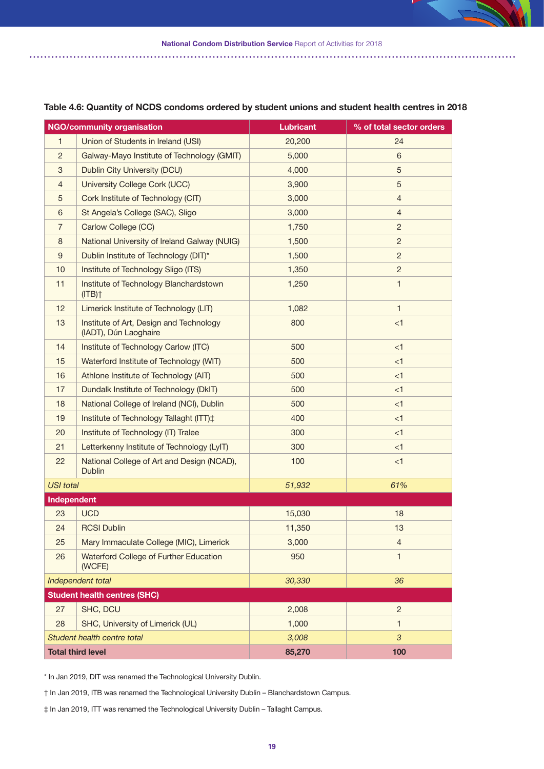

|                  | <b>NGO/community organisation</b>                                | <b>Lubricant</b> | % of total sector orders |
|------------------|------------------------------------------------------------------|------------------|--------------------------|
| 1                | Union of Students in Ireland (USI)                               | 20,200           | 24                       |
| $\overline{c}$   | Galway-Mayo Institute of Technology (GMIT)                       | 5,000            | 6                        |
| 3                | Dublin City University (DCU)                                     | 4,000            | $\sqrt{5}$               |
| $\overline{4}$   | University College Cork (UCC)                                    | 3,900            | $\sqrt{5}$               |
| 5                | Cork Institute of Technology (CIT)                               | 3,000            | $\overline{4}$           |
| 6                | St Angela's College (SAC), Sligo                                 | 3,000            | $\overline{4}$           |
| $\overline{7}$   | Carlow College (CC)                                              | 1,750            | 2                        |
| 8                | National University of Ireland Galway (NUIG)                     | 1,500            | $\overline{c}$           |
| 9                | Dublin Institute of Technology (DIT)*                            | 1,500            | $\overline{c}$           |
| 10               | Institute of Technology Sligo (ITS)                              | 1,350            | $\overline{c}$           |
| 11               | Institute of Technology Blanchardstown<br>$(ITB)$ <sup>+</sup>   | 1,250            | $\mathbf{1}$             |
| 12               | Limerick Institute of Technology (LIT)                           | 1,082            | $\mathbf{1}$             |
| 13               | Institute of Art, Design and Technology<br>(IADT), Dún Laoghaire | 800              | $<$ 1                    |
| 14               | Institute of Technology Carlow (ITC)                             | 500              | <1                       |
| 15               | Waterford Institute of Technology (WIT)                          | 500              | < 1                      |
| 16               | Athlone Institute of Technology (AIT)                            | 500              | $<$ 1                    |
| 17               | Dundalk Institute of Technology (DkIT)                           | 500              | < 1                      |
| 18               | National College of Ireland (NCI), Dublin                        | 500              | $<$ 1                    |
| 19               | Institute of Technology Tallaght (ITT)‡                          | 400              | < 1                      |
| 20               | Institute of Technology (IT) Tralee                              | 300              | $<$ 1                    |
| 21               | Letterkenny Institute of Technology (LyIT)                       | 300              | $<$ 1                    |
| 22               | National College of Art and Design (NCAD),<br><b>Dublin</b>      | 100              | < 1                      |
| <b>USI</b> total |                                                                  | 51,932           | 61%                      |
| Independent      |                                                                  |                  |                          |
| 23               | <b>UCD</b>                                                       | 15,030           | 18                       |
| 24               | <b>RCSI Dublin</b>                                               | 11,350           | 13                       |
| 25               | Mary Immaculate College (MIC), Limerick                          | 3,000            | 4                        |
| 26               | Waterford College of Further Education<br>(WCFE)                 | 950              | $\mathbf{1}$             |
|                  | Independent total                                                | 30,330           | 36                       |
|                  | <b>Student health centres (SHC)</b>                              |                  |                          |
| 27               | SHC, DCU                                                         | 2,008            | $\overline{2}$           |
| 28               | SHC, University of Limerick (UL)                                 | 1,000            | 1                        |
|                  | Student health centre total                                      | 3,008            | $\mathfrak{S}$           |
|                  | <b>Total third level</b>                                         | 85,270           | 100                      |

#### **Table 4.6: Quantity of NCDS condoms ordered by student unions and student health centres in 2018**

\* In Jan 2019, DIT was renamed the Technological University Dublin.

† In Jan 2019, ITB was renamed the Technological University Dublin – Blanchardstown Campus.

‡ In Jan 2019, ITT was renamed the Technological University Dublin – Tallaght Campus.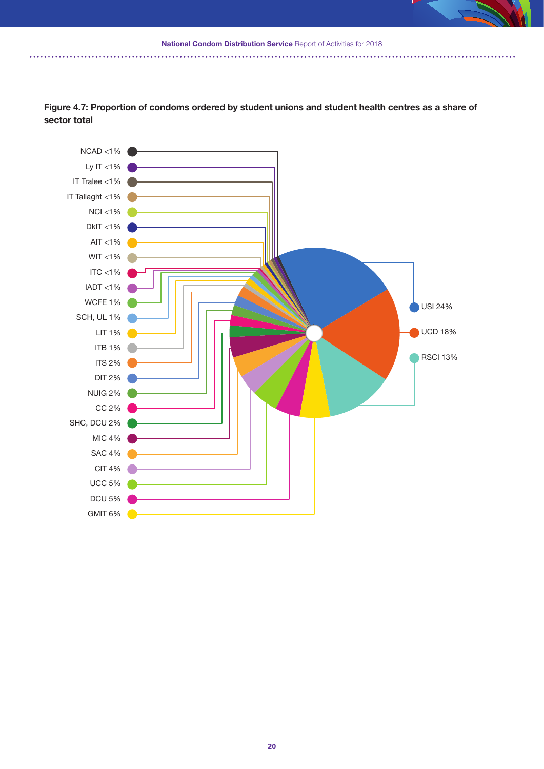**National Condom Distribution Service Report of Activities for 2018** 



**Figure 4.7: Proportion of condoms ordered by student unions and student health centres as a share of sector total**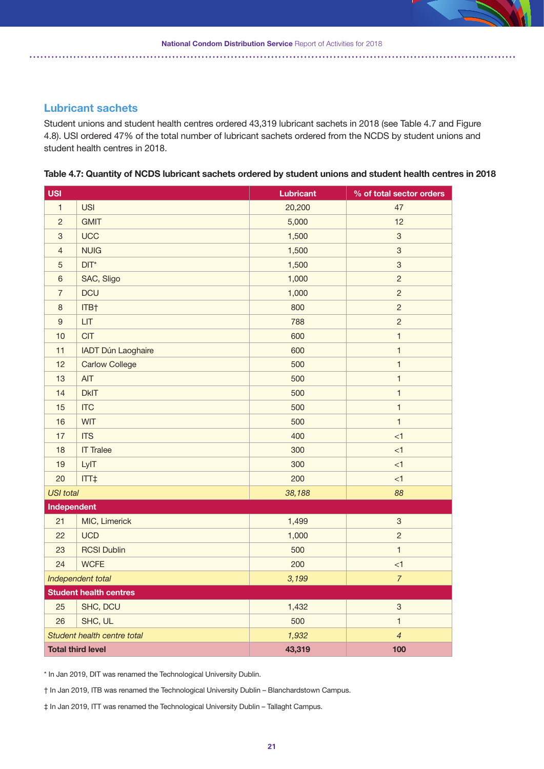### **Lubricant sachets**

Student unions and student health centres ordered 43,319 lubricant sachets in 2018 (see Table 4.7 and Figure 4.8). USI ordered 47% of the total number of lubricant sachets ordered from the NCDS by student unions and student health centres in 2018.

|  | Table 4.7: Quantity of NCDS lubricant sachets ordered by student unions and student health centres in 2018 |  |
|--|------------------------------------------------------------------------------------------------------------|--|
|  |                                                                                                            |  |

| <b>USI</b>       |                               | <b>Lubricant</b> | % of total sector orders  |
|------------------|-------------------------------|------------------|---------------------------|
| $\mathbf{1}$     | <b>USI</b>                    | 20,200           | 47                        |
| $\overline{c}$   | <b>GMIT</b>                   | 5,000            | 12                        |
| 3                | <b>UCC</b>                    | 1,500            | $\mathfrak{S}$            |
| $\overline{4}$   | <b>NUIG</b>                   | 1,500            | $\ensuremath{\mathsf{3}}$ |
| $\sqrt{5}$       | $DIT^*$                       | 1,500            | $\ensuremath{\mathsf{3}}$ |
| $6\phantom{1}6$  | SAC, Sligo                    | 1,000            | $\overline{2}$            |
| $\overline{7}$   | <b>DCU</b>                    | 1,000            | $\overline{2}$            |
| $\boldsymbol{8}$ | ITB†                          | 800              | $\overline{c}$            |
| $\overline{9}$   | <b>LIT</b>                    | 788              | $\overline{c}$            |
| 10               | <b>CIT</b>                    | 600              | $\mathbf{1}$              |
| 11               | <b>IADT Dún Laoghaire</b>     | 600              | $\mathbf{1}$              |
| 12               | <b>Carlow College</b>         | 500              | $\mathbf{1}$              |
| 13               | <b>AIT</b>                    | 500              | $\mathbf{1}$              |
| 14               | <b>DkIT</b>                   | 500              | $\mathbf{1}$              |
| 15               | <b>ITC</b>                    | 500              | $\mathbf{1}$              |
| 16               | <b>WIT</b>                    | 500              | $\mathbf{1}$              |
| 17               | <b>ITS</b>                    | 400              | < 1                       |
| 18               | <b>IT Tralee</b>              | 300              | < 1                       |
| 19               | LyIT                          | 300              | <1                        |
| 20               | ITT‡                          | 200              | <1                        |
| <b>USI</b> total |                               | 38,188           | 88                        |
| Independent      |                               |                  |                           |
| 21               | MIC, Limerick                 | 1,499            | $\ensuremath{\mathsf{3}}$ |
| 22               | <b>UCD</b>                    | 1,000            | $\overline{2}$            |
| 23               | <b>RCSI Dublin</b>            | 500              | $\mathbf{1}$              |
| 24               | <b>WCFE</b>                   | 200              | <1                        |
|                  | Independent total             | 3,199            | $\overline{7}$            |
|                  | <b>Student health centres</b> |                  |                           |
| 25               | SHC, DCU                      | 1,432            | $\ensuremath{\mathsf{3}}$ |
| 26               | SHC, UL                       | 500              | $\mathbf{1}$              |
|                  | Student health centre total   | 1,932            | $\overline{4}$            |
|                  | <b>Total third level</b>      | 43,319           | 100                       |

\* In Jan 2019, DIT was renamed the Technological University Dublin.

† In Jan 2019, ITB was renamed the Technological University Dublin – Blanchardstown Campus.

‡ In Jan 2019, ITT was renamed the Technological University Dublin – Tallaght Campus.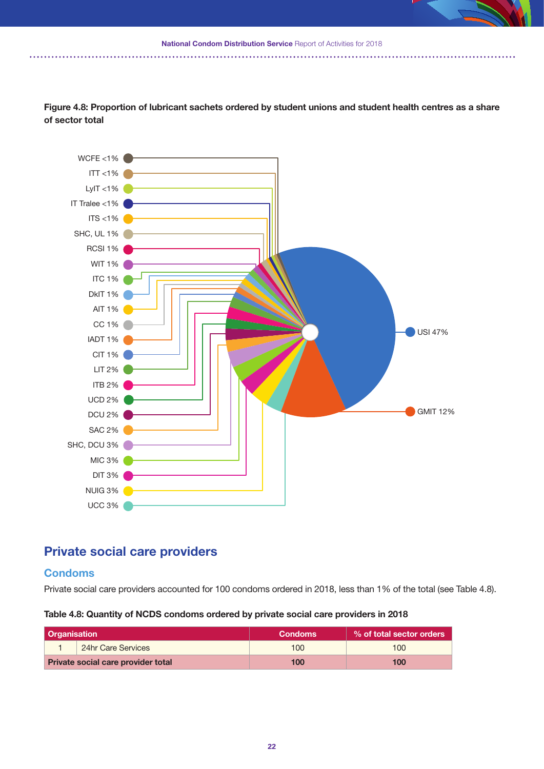

. . . . . . . . . .



Figure 4.8: Proportion of lubricant sachets ordered by student unions and student health centres as a share **of sector total**

### **Private social care providers**

### **Condoms**

Private social care providers accounted for 100 condoms ordered in 2018, less than 1% of the total (see Table 4.8).

### **Table 4.8: Quantity of NCDS condoms ordered by private social care providers in 2018**

| <b>Organisation</b> |                                    | <b>Condoms</b> | ↓% of total sector orders |
|---------------------|------------------------------------|----------------|---------------------------|
|                     | 24hr Care Services                 | 100            | 100                       |
|                     | Private social care provider total | 100            | 100                       |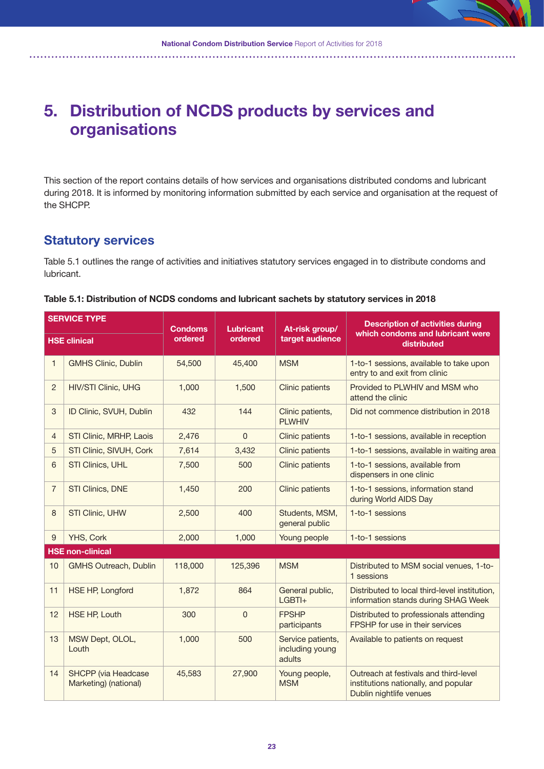# **5. Distribution of NCDS products by services and organisations**

This section of the report contains details of how services and organisations distributed condoms and lubricant during 2018. It is informed by monitoring information submitted by each service and organisation at the request of the SHCPP.

### **Statutory services**

Table 5.1 outlines the range of activities and initiatives statutory services engaged in to distribute condoms and lubricant.

|  | Table 5.1: Distribution of NCDS condoms and lubricant sachets by statutory services in 2018 |  |  |
|--|---------------------------------------------------------------------------------------------|--|--|
|--|---------------------------------------------------------------------------------------------|--|--|

| <b>SERVICE TYPE</b><br><b>HSE clinical</b> |                                                     | <b>Condoms</b><br><b>Lubricant</b> |                | At-risk group/                                 | <b>Description of activities during</b>                                                                  |
|--------------------------------------------|-----------------------------------------------------|------------------------------------|----------------|------------------------------------------------|----------------------------------------------------------------------------------------------------------|
|                                            |                                                     | ordered                            | ordered        | target audience                                | which condoms and lubricant were<br>distributed                                                          |
| 1                                          | <b>GMHS Clinic, Dublin</b>                          | 54,500                             | 45,400         | <b>MSM</b>                                     | 1-to-1 sessions, available to take upon<br>entry to and exit from clinic                                 |
| $\overline{c}$                             | <b>HIV/STI Clinic, UHG</b>                          | 1,000                              | 1,500          | <b>Clinic patients</b>                         | Provided to PLWHIV and MSM who<br>attend the clinic                                                      |
| 3                                          | ID Clinic, SVUH, Dublin                             | 432                                | 144            | Clinic patients,<br><b>PLWHIV</b>              | Did not commence distribution in 2018                                                                    |
| 4                                          | STI Clinic, MRHP, Laois                             | 2,476                              | $\mathbf{0}$   | <b>Clinic patients</b>                         | 1-to-1 sessions, available in reception                                                                  |
| 5                                          | STI Clinic, SIVUH, Cork                             | 7,614                              | 3,432          | <b>Clinic patients</b>                         | 1-to-1 sessions, available in waiting area                                                               |
| 6                                          | STI Clinics, UHL                                    | 7,500                              | 500            | <b>Clinic patients</b>                         | 1-to-1 sessions, available from<br>dispensers in one clinic                                              |
| 7                                          | STI Clinics, DNE                                    | 1,450                              | 200            | <b>Clinic patients</b>                         | 1-to-1 sessions, information stand<br>during World AIDS Day                                              |
| 8                                          | <b>STI Clinic, UHW</b>                              | 2,500                              | 400            | Students, MSM,<br>general public               | 1-to-1 sessions                                                                                          |
| 9                                          | YHS, Cork                                           | 2,000                              | 1,000          | Young people                                   | 1-to-1 sessions                                                                                          |
|                                            | <b>HSE non-clinical</b>                             |                                    |                |                                                |                                                                                                          |
| 10                                         | <b>GMHS Outreach, Dublin</b>                        | 118,000                            | 125,396        | <b>MSM</b>                                     | Distributed to MSM social venues, 1-to-<br>1 sessions                                                    |
| 11                                         | <b>HSE HP, Longford</b>                             | 1,872                              | 864            | General public,<br>$LGBTI+$                    | Distributed to local third-level institution,<br>information stands during SHAG Week                     |
| 12                                         | <b>HSE HP, Louth</b>                                | 300                                | $\overline{0}$ | <b>FPSHP</b><br>participants                   | Distributed to professionals attending<br>FPSHP for use in their services                                |
| 13                                         | MSW Dept, OLOL,<br>Louth                            | 1,000                              | 500            | Service patients,<br>including young<br>adults | Available to patients on request                                                                         |
| 14                                         | <b>SHCPP</b> (via Headcase<br>Marketing) (national) | 45,583                             | 27,900         | Young people,<br><b>MSM</b>                    | Outreach at festivals and third-level<br>institutions nationally, and popular<br>Dublin nightlife venues |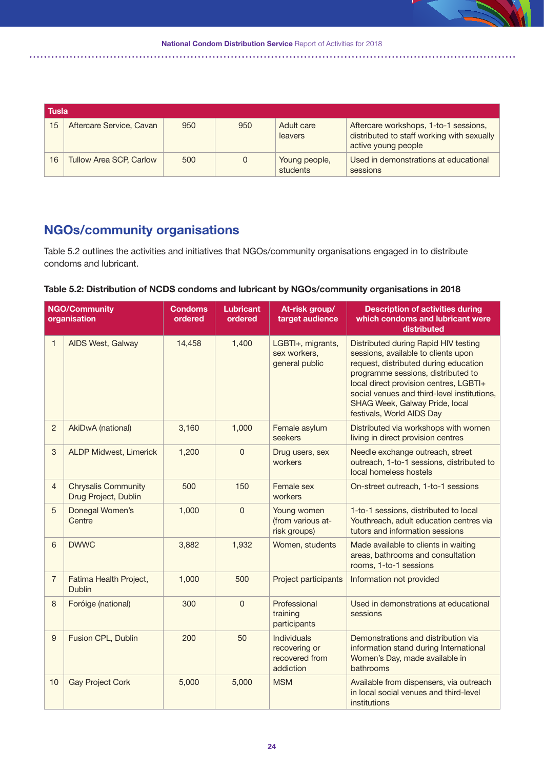|    | ∣ Tusla                        |     |     |                           |                                                                                                            |  |
|----|--------------------------------|-----|-----|---------------------------|------------------------------------------------------------------------------------------------------------|--|
| 15 | Aftercare Service, Cavan       | 950 | 950 | Adult care<br>leavers     | Aftercare workshops, 1-to-1 sessions,<br>distributed to staff working with sexually<br>active young people |  |
| 16 | <b>Tullow Area SCP, Carlow</b> | 500 |     | Young people,<br>students | Used in demonstrations at educational<br>sessions                                                          |  |

### **NGOs/community organisations**

Table 5.2 outlines the activities and initiatives that NGOs/community organisations engaged in to distribute condoms and lubricant.

### **Table 5.2: Distribution of NCDS condoms and lubricant by NGOs/community organisations in 2018**

|                | <b>NGO/Community</b><br>organisation               | <b>Condoms</b><br>ordered | <b>Lubricant</b><br>ordered | At-risk group/<br>target audience                                  | <b>Description of activities during</b><br>which condoms and lubricant were<br>distributed                                                                                                                                                                                                                         |
|----------------|----------------------------------------------------|---------------------------|-----------------------------|--------------------------------------------------------------------|--------------------------------------------------------------------------------------------------------------------------------------------------------------------------------------------------------------------------------------------------------------------------------------------------------------------|
| $\mathbf{1}$   | <b>AIDS West, Galway</b>                           | 14,458                    | 1,400                       | LGBTI+, migrants,<br>sex workers,<br>general public                | Distributed during Rapid HIV testing<br>sessions, available to clients upon<br>request, distributed during education<br>programme sessions, distributed to<br>local direct provision centres, LGBTI+<br>social venues and third-level institutions,<br>SHAG Week, Galway Pride, local<br>festivals, World AIDS Day |
| $\overline{c}$ | AkiDwA (national)                                  | 3,160                     | 1,000                       | Female asylum<br>seekers                                           | Distributed via workshops with women<br>living in direct provision centres                                                                                                                                                                                                                                         |
| 3              | <b>ALDP Midwest, Limerick</b>                      | 1,200                     | $\overline{0}$              | Drug users, sex<br>workers                                         | Needle exchange outreach, street<br>outreach, 1-to-1 sessions, distributed to<br>local homeless hostels                                                                                                                                                                                                            |
| $\overline{4}$ | <b>Chrysalis Community</b><br>Drug Project, Dublin | 500                       | 150                         | Female sex<br>workers                                              | On-street outreach, 1-to-1 sessions                                                                                                                                                                                                                                                                                |
| 5              | Donegal Women's<br>Centre                          | 1,000                     | $\mathbf 0$                 | Young women<br>(from various at-<br>risk groups)                   | 1-to-1 sessions, distributed to local<br>Youthreach, adult education centres via<br>tutors and information sessions                                                                                                                                                                                                |
| 6              | <b>DWWC</b>                                        | 3,882                     | 1,932                       | Women, students                                                    | Made available to clients in waiting<br>areas, bathrooms and consultation<br>rooms, 1-to-1 sessions                                                                                                                                                                                                                |
| $\overline{7}$ | Fatima Health Project,<br><b>Dublin</b>            | 1,000                     | 500                         | Project participants                                               | Information not provided                                                                                                                                                                                                                                                                                           |
| 8              | Foróige (national)                                 | 300                       | $\mathbf 0$                 | Professional<br>training<br>participants                           | Used in demonstrations at educational<br>sessions                                                                                                                                                                                                                                                                  |
| $9\,$          | Fusion CPL, Dublin                                 | 200                       | 50                          | <b>Individuals</b><br>recovering or<br>recovered from<br>addiction | Demonstrations and distribution via<br>information stand during International<br>Women's Day, made available in<br>bathrooms                                                                                                                                                                                       |
| 10             | <b>Gay Project Cork</b>                            | 5,000                     | 5,000                       | <b>MSM</b>                                                         | Available from dispensers, via outreach<br>in local social venues and third-level<br>institutions                                                                                                                                                                                                                  |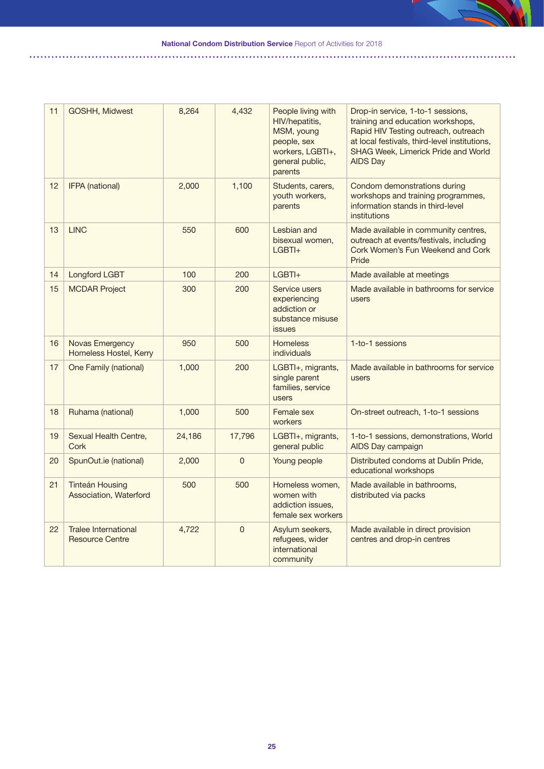**National Condom Distribution Service** Report of Activities for 2018

11 GOSHH, Midwest 18,264 4,432 People living with HIV/hepatitis, MSM, young people, sex workers, LGBTI+, general public, parents Drop-in service, 1-to-1 sessions, training and education workshops, Rapid HIV Testing outreach, outreach at local festivals, third-level institutions, SHAG Week, Limerick Pride and World AIDS Day 12 **IFPA (national)** 2,000 1,100 Students, carers, youth workers, parents Condom demonstrations during workshops and training programmes, information stands in third-level institutions 13 LINC 650 600 Lesbian and bisexual women, LGBTI+ Made available in community centres, outreach at events/festivals, including Cork Women's Fun Weekend and Cork Pride 14 Longford LGBT 100 200 LGBTI+ Made available at meetings 15 MCDAR Project 300 200 Service users experiencing addiction or substance misuse issues Made available in bathrooms for service users 16 Novas Emergency Homeless Hostel, Kerry 950 | 500 | Homeless individuals 1-to-1 sessions 17 One Family (national) 1,000 200 LGBTI+, migrants, single parent families, service users Made available in bathrooms for service users 18 Ruhama (national) 1,000 500 Female sex workers On-street outreach, 1-to-1 sessions 19 Sexual Health Centre **Cork** 24,186 17,796 LGBTI+, migrants, general public 1-to-1 sessions, demonstrations, World AIDS Day campaign 20 SpunOut.ie (national) 2,000 0 Young people Distributed condoms at Dublin Pride, educational workshops 21 Tinteán Housing Association, Waterford 500 500 Homeless women, women with addiction issues, female sex workers Made available in bathrooms, distributed via packs 22 Tralee International Resource Centre 4,722 0 Asylum seekers, refugees, wider international community Made available in direct provision centres and drop-in centres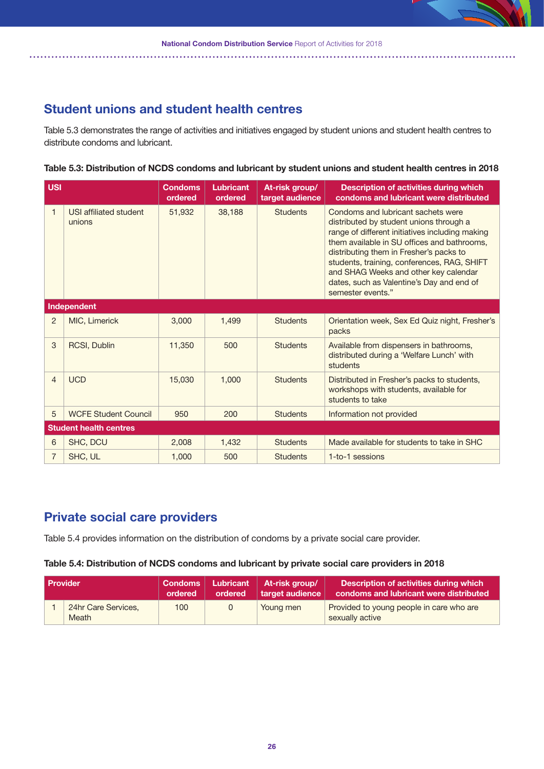### **Student unions and student health centres**

Table 5.3 demonstrates the range of activities and initiatives engaged by student unions and student health centres to distribute condoms and lubricant.

#### Table 5.3: Distribution of NCDS condoms and lubricant by student unions and student health centres in 2018

| <b>USI</b>     |                                  | <b>Condoms</b><br>ordered | Lubricant<br>ordered | At-risk group/<br>target audience | <b>Description of activities during which</b><br>condoms and lubricant were distributed                                                                                                                                                                                                                                                                                              |
|----------------|----------------------------------|---------------------------|----------------------|-----------------------------------|--------------------------------------------------------------------------------------------------------------------------------------------------------------------------------------------------------------------------------------------------------------------------------------------------------------------------------------------------------------------------------------|
| $\mathbf{1}$   | USI affiliated student<br>unions | 51,932                    | 38,188               | <b>Students</b>                   | Condoms and lubricant sachets were<br>distributed by student unions through a<br>range of different initiatives including making<br>them available in SU offices and bathrooms,<br>distributing them in Fresher's packs to<br>students, training, conferences, RAG, SHIFT<br>and SHAG Weeks and other key calendar<br>dates, such as Valentine's Day and end of<br>semester events." |
|                | Independent                      |                           |                      |                                   |                                                                                                                                                                                                                                                                                                                                                                                      |
| 2              | MIC, Limerick                    | 3,000                     | 1,499                | <b>Students</b>                   | Orientation week, Sex Ed Quiz night, Fresher's<br>packs                                                                                                                                                                                                                                                                                                                              |
| 3              | <b>RCSI, Dublin</b>              | 11,350                    | 500                  | <b>Students</b>                   | Available from dispensers in bathrooms,<br>distributed during a 'Welfare Lunch' with<br>students                                                                                                                                                                                                                                                                                     |
| $\overline{4}$ | <b>UCD</b>                       | 15,030                    | 1.000                | <b>Students</b>                   | Distributed in Fresher's packs to students,<br>workshops with students, available for<br>students to take                                                                                                                                                                                                                                                                            |
| 5              | <b>WCFE Student Council</b>      | 950                       | 200                  | <b>Students</b>                   | Information not provided                                                                                                                                                                                                                                                                                                                                                             |
|                | <b>Student health centres</b>    |                           |                      |                                   |                                                                                                                                                                                                                                                                                                                                                                                      |
| 6              | SHC, DCU                         | 2,008                     | 1,432                | <b>Students</b>                   | Made available for students to take in SHC                                                                                                                                                                                                                                                                                                                                           |
| 7              | SHC, UL                          | 1,000                     | 500                  | <b>Students</b>                   | 1-to-1 sessions                                                                                                                                                                                                                                                                                                                                                                      |

### **Private social care providers**

Table 5.4 provides information on the distribution of condoms by a private social care provider.

#### **Table 5.4: Distribution of NCDS condoms and lubricant by private social care providers in 2018**

| <b>Provider</b> |                              | <b>Condoms</b><br>ordered | Lubricant<br>ordered | At-risk group/<br>target audience | Description of activities during which<br>condoms and lubricant were distributed |
|-----------------|------------------------------|---------------------------|----------------------|-----------------------------------|----------------------------------------------------------------------------------|
|                 | 24hr Care Services,<br>Meath | 100                       |                      | Young men                         | Provided to young people in care who are<br>sexually active                      |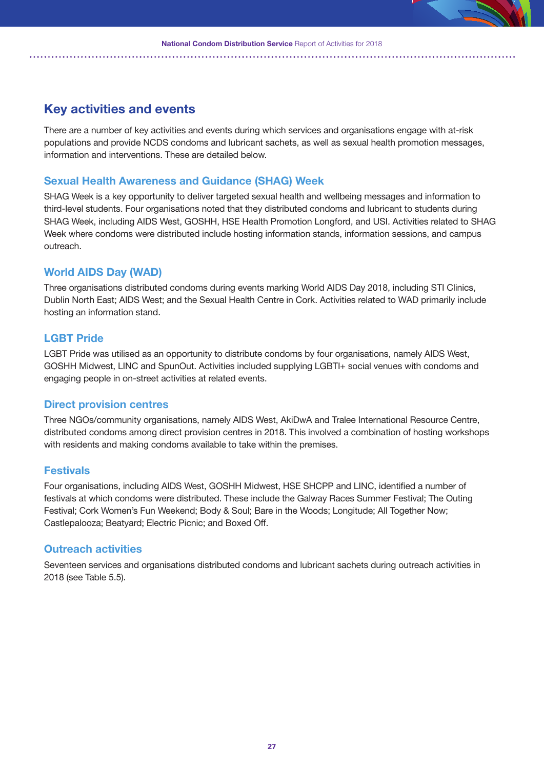### **Key activities and events**

There are a number of key activities and events during which services and organisations engage with at-risk populations and provide NCDS condoms and lubricant sachets, as well as sexual health promotion messages, information and interventions. These are detailed below.

### **Sexual Health Awareness and Guidance (SHAG) Week**

SHAG Week is a key opportunity to deliver targeted sexual health and wellbeing messages and information to third-level students. Four organisations noted that they distributed condoms and lubricant to students during SHAG Week, including AIDS West, GOSHH, HSE Health Promotion Longford, and USI. Activities related to SHAG Week where condoms were distributed include hosting information stands, information sessions, and campus outreach.

### **World AIDS Day (WAD)**

Three organisations distributed condoms during events marking World AIDS Day 2018, including STI Clinics, Dublin North East; AIDS West; and the Sexual Health Centre in Cork. Activities related to WAD primarily include hosting an information stand.

### **LGBT Pride**

LGBT Pride was utilised as an opportunity to distribute condoms by four organisations, namely AIDS West, GOSHH Midwest, LINC and SpunOut. Activities included supplying LGBTI+ social venues with condoms and engaging people in on-street activities at related events.

#### **Direct provision centres**

Three NGOs/community organisations, namely AIDS West, AkiDwA and Tralee International Resource Centre, distributed condoms among direct provision centres in 2018. This involved a combination of hosting workshops with residents and making condoms available to take within the premises.

#### **Festivals**

Four organisations, including AIDS West, GOSHH Midwest, HSE SHCPP and LINC, identified a number of festivals at which condoms were distributed. These include the Galway Races Summer Festival; The Outing Festival; Cork Women's Fun Weekend; Body & Soul; Bare in the Woods; Longitude; All Together Now; Castlepalooza; Beatyard; Electric Picnic; and Boxed Off.

### **Outreach activities**

Seventeen services and organisations distributed condoms and lubricant sachets during outreach activities in 2018 (see Table 5.5).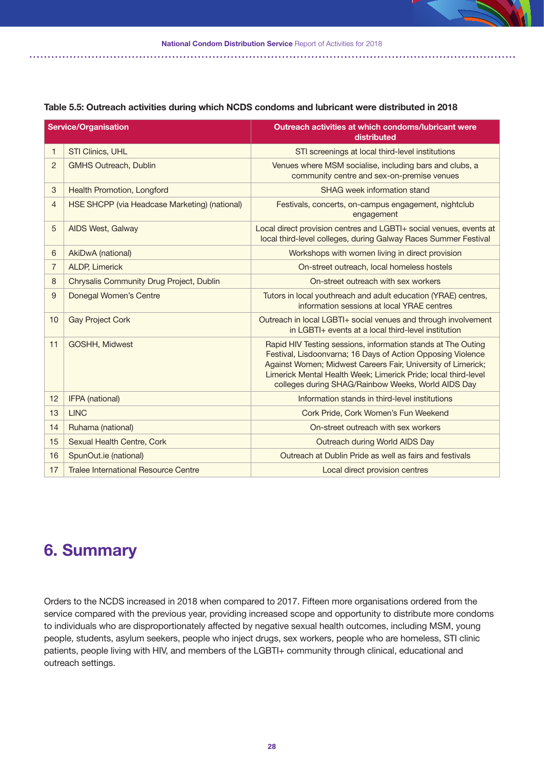|                | <b>Service/Organisation</b>                   | <b>Outreach activities at which condoms/lubricant were</b><br>distributed                                                                                                                                                                                                                                           |
|----------------|-----------------------------------------------|---------------------------------------------------------------------------------------------------------------------------------------------------------------------------------------------------------------------------------------------------------------------------------------------------------------------|
| $\mathbf{1}$   | STI Clinics, UHL                              | STI screenings at local third-level institutions                                                                                                                                                                                                                                                                    |
| 2              | <b>GMHS Outreach, Dublin</b>                  | Venues where MSM socialise, including bars and clubs, a<br>community centre and sex-on-premise venues                                                                                                                                                                                                               |
| 3              | Health Promotion, Longford                    | SHAG week information stand                                                                                                                                                                                                                                                                                         |
| $\overline{4}$ | HSE SHCPP (via Headcase Marketing) (national) | Festivals, concerts, on-campus engagement, nightclub<br>engagement                                                                                                                                                                                                                                                  |
| 5              | AIDS West, Galway                             | Local direct provision centres and LGBTI+ social venues, events at<br>local third-level colleges, during Galway Races Summer Festival                                                                                                                                                                               |
| 6              | <b>AkiDwA</b> (national)                      | Workshops with women living in direct provision                                                                                                                                                                                                                                                                     |
| $\overline{7}$ | <b>ALDP, Limerick</b>                         | On-street outreach, local homeless hostels                                                                                                                                                                                                                                                                          |
| 8              | Chrysalis Community Drug Project, Dublin      | On-street outreach with sex workers                                                                                                                                                                                                                                                                                 |
| 9              | Donegal Women's Centre                        | Tutors in local youthreach and adult education (YRAE) centres,<br>information sessions at local YRAE centres                                                                                                                                                                                                        |
| 10             | <b>Gay Project Cork</b>                       | Outreach in local LGBTI+ social venues and through involvement<br>in LGBTI+ events at a local third-level institution                                                                                                                                                                                               |
| 11             | GOSHH, Midwest                                | Rapid HIV Testing sessions, information stands at The Outing<br>Festival, Lisdoonvarna; 16 Days of Action Opposing Violence<br>Against Women; Midwest Careers Fair, University of Limerick;<br>Limerick Mental Health Week; Limerick Pride; local third-level<br>colleges during SHAG/Rainbow Weeks, World AIDS Day |
| 12             | IFPA (national)                               | Information stands in third-level institutions                                                                                                                                                                                                                                                                      |
| 13             | <b>LINC</b>                                   | Cork Pride, Cork Women's Fun Weekend                                                                                                                                                                                                                                                                                |
| 14             | Ruhama (national)                             | On-street outreach with sex workers                                                                                                                                                                                                                                                                                 |
| 15             | Sexual Health Centre, Cork                    | Outreach during World AIDS Day                                                                                                                                                                                                                                                                                      |
| 16             | SpunOut.ie (national)                         | Outreach at Dublin Pride as well as fairs and festivals                                                                                                                                                                                                                                                             |
| 17             | <b>Tralee International Resource Centre</b>   | Local direct provision centres                                                                                                                                                                                                                                                                                      |

#### **Table 5.5: Outreach activities during which NCDS condoms and lubricant were distributed in 2018**

# **6. Summary**

Orders to the NCDS increased in 2018 when compared to 2017. Fifteen more organisations ordered from the service compared with the previous year, providing increased scope and opportunity to distribute more condoms to individuals who are disproportionately affected by negative sexual health outcomes, including MSM, young people, students, asylum seekers, people who inject drugs, sex workers, people who are homeless, STI clinic patients, people living with HIV, and members of the LGBTI+ community through clinical, educational and outreach settings.